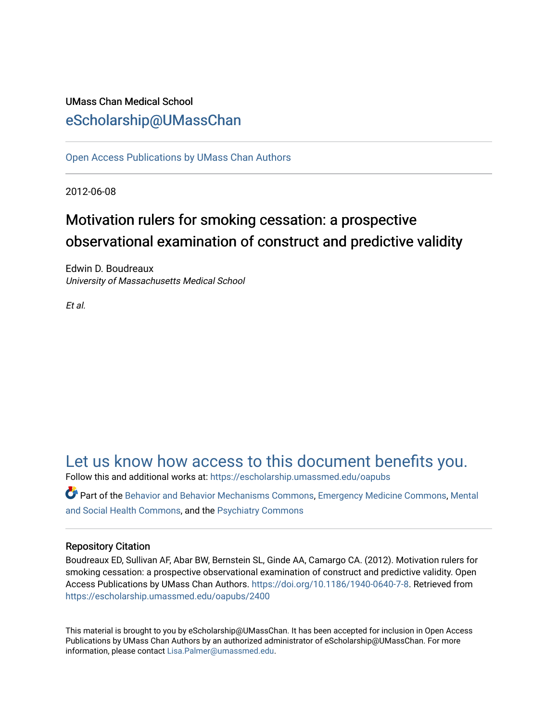## UMass Chan Medical School [eScholarship@UMassChan](https://escholarship.umassmed.edu/)

[Open Access Publications by UMass Chan Authors](https://escholarship.umassmed.edu/oapubs) 

2012-06-08

# Motivation rulers for smoking cessation: a prospective observational examination of construct and predictive validity

Edwin D. Boudreaux University of Massachusetts Medical School

Et al.

# [Let us know how access to this document benefits you.](https://arcsapps.umassmed.edu/redcap/surveys/?s=XWRHNF9EJE)

Follow this and additional works at: [https://escholarship.umassmed.edu/oapubs](https://escholarship.umassmed.edu/oapubs?utm_source=escholarship.umassmed.edu%2Foapubs%2F2400&utm_medium=PDF&utm_campaign=PDFCoverPages) 

Part of the [Behavior and Behavior Mechanisms Commons,](http://network.bepress.com/hgg/discipline/963?utm_source=escholarship.umassmed.edu%2Foapubs%2F2400&utm_medium=PDF&utm_campaign=PDFCoverPages) [Emergency Medicine Commons](http://network.bepress.com/hgg/discipline/685?utm_source=escholarship.umassmed.edu%2Foapubs%2F2400&utm_medium=PDF&utm_campaign=PDFCoverPages), [Mental](http://network.bepress.com/hgg/discipline/709?utm_source=escholarship.umassmed.edu%2Foapubs%2F2400&utm_medium=PDF&utm_campaign=PDFCoverPages) [and Social Health Commons](http://network.bepress.com/hgg/discipline/709?utm_source=escholarship.umassmed.edu%2Foapubs%2F2400&utm_medium=PDF&utm_campaign=PDFCoverPages), and the [Psychiatry Commons](http://network.bepress.com/hgg/discipline/704?utm_source=escholarship.umassmed.edu%2Foapubs%2F2400&utm_medium=PDF&utm_campaign=PDFCoverPages)

### Repository Citation

Boudreaux ED, Sullivan AF, Abar BW, Bernstein SL, Ginde AA, Camargo CA. (2012). Motivation rulers for smoking cessation: a prospective observational examination of construct and predictive validity. Open Access Publications by UMass Chan Authors. [https://doi.org/10.1186/1940-0640-7-8.](https://doi.org/10.1186/1940-0640-7-8) Retrieved from [https://escholarship.umassmed.edu/oapubs/2400](https://escholarship.umassmed.edu/oapubs/2400?utm_source=escholarship.umassmed.edu%2Foapubs%2F2400&utm_medium=PDF&utm_campaign=PDFCoverPages)

This material is brought to you by eScholarship@UMassChan. It has been accepted for inclusion in Open Access Publications by UMass Chan Authors by an authorized administrator of eScholarship@UMassChan. For more information, please contact [Lisa.Palmer@umassmed.edu.](mailto:Lisa.Palmer@umassmed.edu)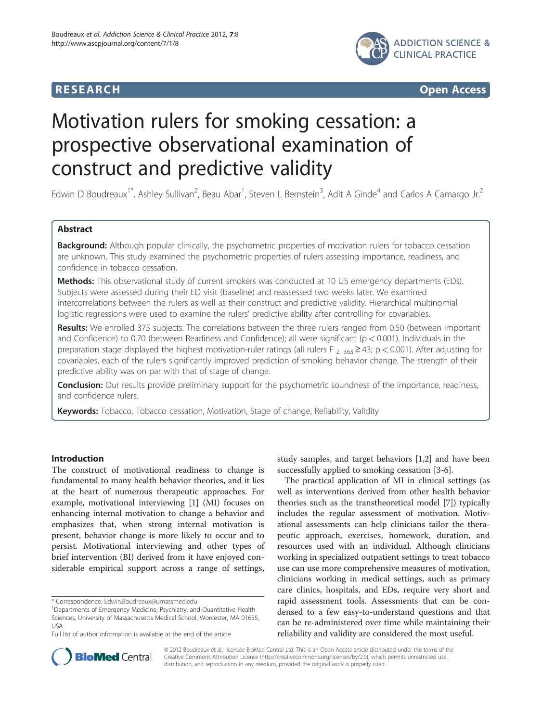



# Motivation rulers for smoking cessation: a prospective observational examination of construct and predictive validity

Edwin D Boudreaux<sup>1\*</sup>, Ashley Sullivan<sup>2</sup>, Beau Abar<sup>1</sup>, Steven L Bernstein<sup>3</sup>, Adit A Ginde<sup>4</sup> and Carlos A Camargo Jr.<sup>2</sup>

#### Abstract

Background: Although popular clinically, the psychometric properties of motivation rulers for tobacco cessation are unknown. This study examined the psychometric properties of rulers assessing importance, readiness, and confidence in tobacco cessation.

Methods: This observational study of current smokers was conducted at 10 US emergency departments (EDs). Subjects were assessed during their ED visit (baseline) and reassessed two weeks later. We examined intercorrelations between the rulers as well as their construct and predictive validity. Hierarchical multinomial logistic regressions were used to examine the rulers' predictive ability after controlling for covariables.

Results: We enrolled 375 subjects. The correlations between the three rulers ranged from 0.50 (between Important and Confidence) to 0.70 (between Readiness and Confidence); all were significant ( $p < 0.001$ ). Individuals in the preparation stage displayed the highest motivation-ruler ratings (all rulers F  $_2$ ,  $_{363} \geq 43$ ; p < 0.001). After adjusting for covariables, each of the rulers significantly improved prediction of smoking behavior change. The strength of their predictive ability was on par with that of stage of change.

**Conclusion:** Our results provide preliminary support for the psychometric soundness of the importance, readiness, and confidence rulers.

Keywords: Tobacco, Tobacco cessation, Motivation, Stage of change, Reliability, Validity

#### Introduction

The construct of motivational readiness to change is fundamental to many health behavior theories, and it lies at the heart of numerous therapeutic approaches. For example, motivational interviewing [[1](#page-8-0)] (MI) focuses on enhancing internal motivation to change a behavior and emphasizes that, when strong internal motivation is present, behavior change is more likely to occur and to persist. Motivational interviewing and other types of brief intervention (BI) derived from it have enjoyed considerable empirical support across a range of settings,

study samples, and target behaviors [[1,2\]](#page-8-0) and have been successfully applied to smoking cessation [[3-](#page-8-0)[6](#page-9-0)].

The practical application of MI in clinical settings (as well as interventions derived from other health behavior theories such as the transtheoretical model [\[7](#page-9-0)]) typically includes the regular assessment of motivation. Motivational assessments can help clinicians tailor the therapeutic approach, exercises, homework, duration, and resources used with an individual. Although clinicians working in specialized outpatient settings to treat tobacco use can use more comprehensive measures of motivation, clinicians working in medical settings, such as primary care clinics, hospitals, and EDs, require very short and rapid assessment tools. Assessments that can be condensed to a few easy-to-understand questions and that can be re-administered over time while maintaining their reliability and validity are considered the most useful.



© 2012 Boudreaux et al.; licensee BioMed Central Ltd. This is an Open Access article distributed under the terms of the Creative Commons Attribution License (<http://creativecommons.org/licenses/by/2.0>), which permits unrestricted use, distribution, and reproduction in any medium, provided the original work is properly cited.

<sup>\*</sup> Correspondence: [Edwin.Boudreaux@umassmed.edu](mailto:Edwin.Boudreaux@umassmed.edu) <sup>1</sup>

<sup>&</sup>lt;sup>1</sup>Departments of Emergency Medicine, Psychiatry, and Quantitative Health Sciences, University of Massachusetts Medical School, Worcester, MA 01655, USA

Full list of author information is available at the end of the article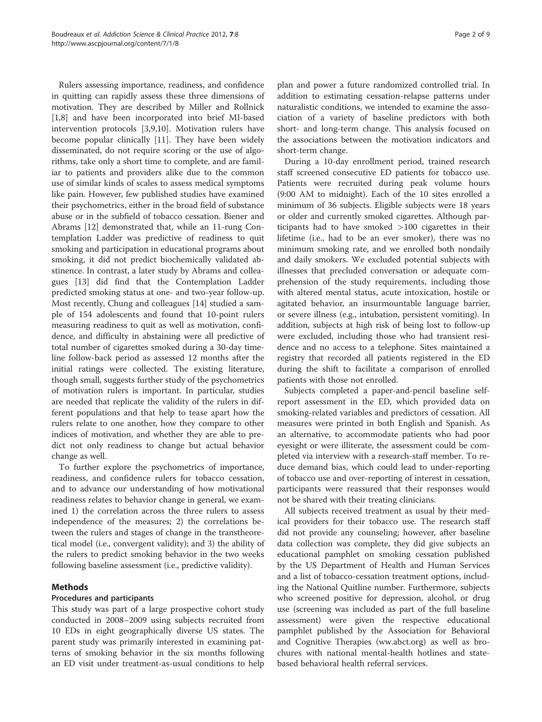Rulers assessing importance, readiness, and confidence in quitting can rapidly assess these three dimensions of motivation. They are described by Miller and Rollnick [[1,](#page-8-0)[8\]](#page-9-0) and have been incorporated into brief MI-based intervention protocols [[3,](#page-8-0)[9,10](#page-9-0)]. Motivation rulers have become popular clinically [[11](#page-9-0)]. They have been widely disseminated, do not require scoring or the use of algorithms, take only a short time to complete, and are familiar to patients and providers alike due to the common use of similar kinds of scales to assess medical symptoms like pain. However, few published studies have examined their psychometrics, either in the broad field of substance abuse or in the subfield of tobacco cessation. Biener and Abrams [[12\]](#page-9-0) demonstrated that, while an 11-rung Contemplation Ladder was predictive of readiness to quit smoking and participation in educational programs about smoking, it did not predict biochemically validated abstinence. In contrast, a later study by Abrams and colleagues [\[13](#page-9-0)] did find that the Contemplation Ladder predicted smoking status at one- and two-year follow-up. Most recently, Chung and colleagues [[14](#page-9-0)] studied a sample of 154 adolescents and found that 10-point rulers measuring readiness to quit as well as motivation, confidence, and difficulty in abstaining were all predictive of total number of cigarettes smoked during a 30-day timeline follow-back period as assessed 12 months after the initial ratings were collected. The existing literature, though small, suggests further study of the psychometrics of motivation rulers is important. In particular, studies are needed that replicate the validity of the rulers in different populations and that help to tease apart how the rulers relate to one another, how they compare to other indices of motivation, and whether they are able to predict not only readiness to change but actual behavior change as well.

To further explore the psychometrics of importance, readiness, and confidence rulers for tobacco cessation, and to advance our understanding of how motivational readiness relates to behavior change in general, we examined 1) the correlation across the three rulers to assess independence of the measures; 2) the correlations between the rulers and stages of change in the transtheoretical model (i.e., convergent validity); and 3) the ability of the rulers to predict smoking behavior in the two weeks following baseline assessment (i.e., predictive validity).

#### Methods

#### Procedures and participants

This study was part of a large prospective cohort study conducted in 2008–2009 using subjects recruited from 10 EDs in eight geographically diverse US states. The parent study was primarily interested in examining patterns of smoking behavior in the six months following an ED visit under treatment-as-usual conditions to help plan and power a future randomized controlled trial. In addition to estimating cessation-relapse patterns under naturalistic conditions, we intended to examine the association of a variety of baseline predictors with both short- and long-term change. This analysis focused on the associations between the motivation indicators and short-term change.

During a 10-day enrollment period, trained research staff screened consecutive ED patients for tobacco use. Patients were recruited during peak volume hours (9:00 AM to midnight). Each of the 10 sites enrolled a minimum of 36 subjects. Eligible subjects were 18 years or older and currently smoked cigarettes. Although participants had to have smoked  $>100$  cigarettes in their lifetime (i.e., had to be an ever smoker), there was no minimum smoking rate, and we enrolled both nondaily and daily smokers. We excluded potential subjects with illnesses that precluded conversation or adequate comprehension of the study requirements, including those with altered mental status, acute intoxication, hostile or agitated behavior, an insurmountable language barrier, or severe illness (e.g., intubation, persistent vomiting). In addition, subjects at high risk of being lost to follow-up were excluded, including those who had transient residence and no access to a telephone. Sites maintained a registry that recorded all patients registered in the ED during the shift to facilitate a comparison of enrolled patients with those not enrolled.

Subjects completed a paper-and-pencil baseline selfreport assessment in the ED, which provided data on smoking-related variables and predictors of cessation. All measures were printed in both English and Spanish. As an alternative, to accommodate patients who had poor eyesight or were illiterate, the assessment could be completed via interview with a research-staff member. To reduce demand bias, which could lead to under-reporting of tobacco use and over-reporting of interest in cessation, participants were reassured that their responses would not be shared with their treating clinicians.

All subjects received treatment as usual by their medical providers for their tobacco use. The research staff did not provide any counseling; however, after baseline data collection was complete, they did give subjects an educational pamphlet on smoking cessation published by the US Department of Health and Human Services and a list of tobacco-cessation treatment options, including the National Quitline number. Furthermore, subjects who screened positive for depression, alcohol, or drug use (screening was included as part of the full baseline assessment) were given the respective educational pamphlet published by the Association for Behavioral and Cognitive Therapies (ww.abct.org) as well as brochures with national mental-health hotlines and statebased behavioral health referral services.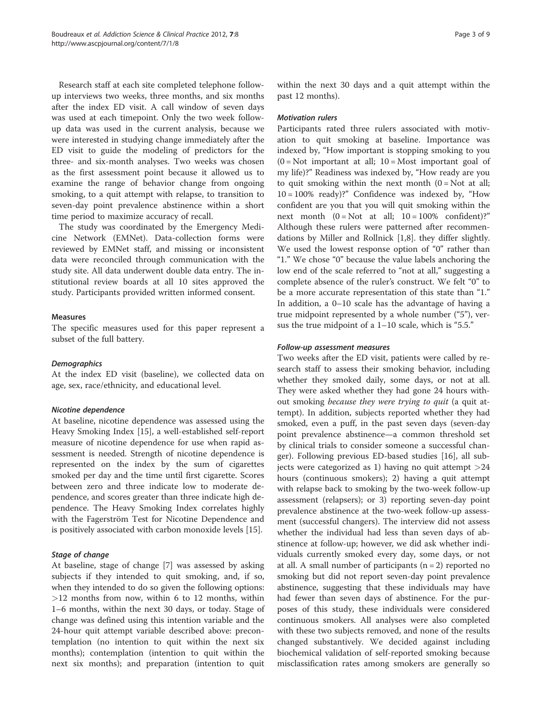Research staff at each site completed telephone followup interviews two weeks, three months, and six months after the index ED visit. A call window of seven days was used at each timepoint. Only the two week followup data was used in the current analysis, because we were interested in studying change immediately after the ED visit to guide the modeling of predictors for the three- and six-month analyses. Two weeks was chosen as the first assessment point because it allowed us to examine the range of behavior change from ongoing smoking, to a quit attempt with relapse, to transition to seven-day point prevalence abstinence within a short time period to maximize accuracy of recall.

The study was coordinated by the Emergency Medicine Network (EMNet). Data-collection forms were reviewed by EMNet staff, and missing or inconsistent data were reconciled through communication with the study site. All data underwent double data entry. The institutional review boards at all 10 sites approved the study. Participants provided written informed consent.

#### Measures

The specific measures used for this paper represent a subset of the full battery.

#### **Demographics**

At the index ED visit (baseline), we collected data on age, sex, race/ethnicity, and educational level.

#### Nicotine dependence

At baseline, nicotine dependence was assessed using the Heavy Smoking Index [[15\]](#page-9-0), a well-established self-report measure of nicotine dependence for use when rapid assessment is needed. Strength of nicotine dependence is represented on the index by the sum of cigarettes smoked per day and the time until first cigarette. Scores between zero and three indicate low to moderate dependence, and scores greater than three indicate high dependence. The Heavy Smoking Index correlates highly with the Fagerström Test for Nicotine Dependence and is positively associated with carbon monoxide levels [\[15](#page-9-0)].

#### Stage of change

At baseline, stage of change [\[7\]](#page-9-0) was assessed by asking subjects if they intended to quit smoking, and, if so, when they intended to do so given the following options:  $>12$  months from now, within 6 to 12 months, within 1–6 months, within the next 30 days, or today. Stage of change was defined using this intention variable and the 24-hour quit attempt variable described above: precontemplation (no intention to quit within the next six months); contemplation (intention to quit within the next six months); and preparation (intention to quit within the next 30 days and a quit attempt within the past 12 months).

#### Motivation rulers

Participants rated three rulers associated with motivation to quit smoking at baseline. Importance was indexed by, "How important is stopping smoking to you  $(0 = Not important at all; 10 = Most important goal of$ my life)?" Readiness was indexed by, "How ready are you to quit smoking within the next month  $(0 = Not at all;$ 10 = 100% ready)?" Confidence was indexed by, "How confident are you that you will quit smoking within the next month  $(0 = Not at all; 10 = 100\% confidence$  confident)?" Although these rulers were patterned after recommendations by Miller and Rollnick [[1,](#page-8-0)[8\]](#page-9-0). they differ slightly. We used the lowest response option of "0" rather than "1." We chose "0" because the value labels anchoring the low end of the scale referred to "not at all," suggesting a complete absence of the ruler's construct. We felt "0" to be a more accurate representation of this state than "1." In addition, a 0–10 scale has the advantage of having a true midpoint represented by a whole number ("5"), versus the true midpoint of a 1–10 scale, which is "5.5."

#### Follow-up assessment measures

Two weeks after the ED visit, patients were called by research staff to assess their smoking behavior, including whether they smoked daily, some days, or not at all. They were asked whether they had gone 24 hours without smoking because they were trying to quit (a quit attempt). In addition, subjects reported whether they had smoked, even a puff, in the past seven days (seven-day point prevalence abstinence—a common threshold set by clinical trials to consider someone a successful changer). Following previous ED-based studies [\[16\]](#page-9-0), all subjects were categorized as 1) having no quit attempt  $>24$ hours (continuous smokers); 2) having a quit attempt with relapse back to smoking by the two-week follow-up assessment (relapsers); or 3) reporting seven-day point prevalence abstinence at the two-week follow-up assessment (successful changers). The interview did not assess whether the individual had less than seven days of abstinence at follow-up; however, we did ask whether individuals currently smoked every day, some days, or not at all. A small number of participants  $(n = 2)$  reported no smoking but did not report seven-day point prevalence abstinence, suggesting that these individuals may have had fewer than seven days of abstinence. For the purposes of this study, these individuals were considered continuous smokers. All analyses were also completed with these two subjects removed, and none of the results changed substantively. We decided against including biochemical validation of self-reported smoking because misclassification rates among smokers are generally so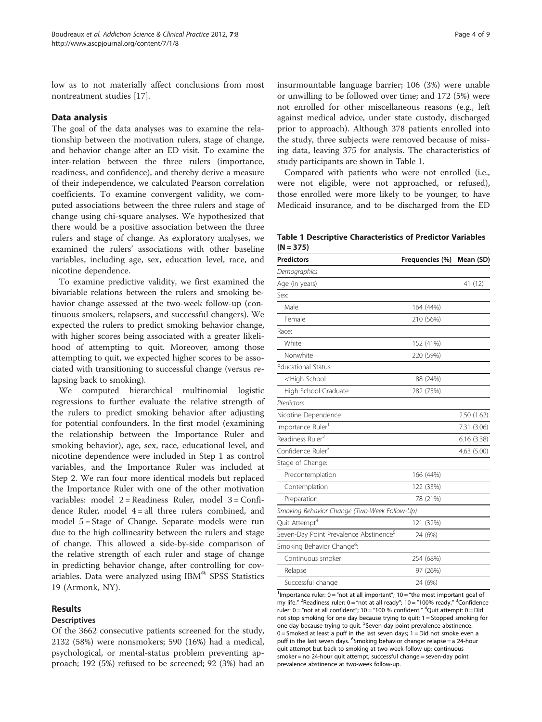low as to not materially affect conclusions from most nontreatment studies [\[17\]](#page-9-0).

#### Data analysis

The goal of the data analyses was to examine the relationship between the motivation rulers, stage of change, and behavior change after an ED visit. To examine the inter-relation between the three rulers (importance, readiness, and confidence), and thereby derive a measure of their independence, we calculated Pearson correlation coefficients. To examine convergent validity, we computed associations between the three rulers and stage of change using chi-square analyses. We hypothesized that there would be a positive association between the three rulers and stage of change. As exploratory analyses, we examined the rulers' associations with other baseline variables, including age, sex, education level, race, and nicotine dependence.

To examine predictive validity, we first examined the bivariable relations between the rulers and smoking behavior change assessed at the two-week follow-up (continuous smokers, relapsers, and successful changers). We expected the rulers to predict smoking behavior change, with higher scores being associated with a greater likelihood of attempting to quit. Moreover, among those attempting to quit, we expected higher scores to be associated with transitioning to successful change (versus relapsing back to smoking).

We computed hierarchical multinomial logistic regressions to further evaluate the relative strength of the rulers to predict smoking behavior after adjusting for potential confounders. In the first model (examining the relationship between the Importance Ruler and smoking behavior), age, sex, race, educational level, and nicotine dependence were included in Step 1 as control variables, and the Importance Ruler was included at Step 2. We ran four more identical models but replaced the Importance Ruler with one of the other motivation variables: model 2 = Readiness Ruler, model 3 = Confidence Ruler, model 4 = all three rulers combined, and model 5 = Stage of Change. Separate models were run due to the high collinearity between the rulers and stage of change. This allowed a side-by-side comparison of the relative strength of each ruler and stage of change in predicting behavior change, after controlling for covariables. Data were analyzed using  $IBM^{\circledR}$  SPSS Statistics 19 (Armonk, NY).

#### Results

#### **Descriptives**

Of the 3662 consecutive patients screened for the study, 2132 (58%) were nonsmokers; 590 (16%) had a medical, psychological, or mental-status problem preventing approach; 192 (5%) refused to be screened; 92 (3%) had an insurmountable language barrier; 106 (3%) were unable or unwilling to be followed over time; and 172 (5%) were not enrolled for other miscellaneous reasons (e.g., left against medical advice, under state custody, discharged prior to approach). Although 378 patients enrolled into the study, three subjects were removed because of missing data, leaving 375 for analysis. The characteristics of study participants are shown in Table 1.

Compared with patients who were not enrolled (i.e., were not eligible, were not approached, or refused), those enrolled were more likely to be younger, to have Medicaid insurance, and to be discharged from the ED

Table 1 Descriptive Characteristics of Predictor Variables  $(N = 375)$ 

| <b>Predictors</b>                                        | Frequencies (%) Mean (SD) |             |
|----------------------------------------------------------|---------------------------|-------------|
| Demographics                                             |                           |             |
| Age (in years)                                           |                           | 41 (12)     |
| Sex:                                                     |                           |             |
| Male                                                     | 164 (44%)                 |             |
| Female                                                   | 210 (56%)                 |             |
| Race:                                                    |                           |             |
| White                                                    | 152 (41%)                 |             |
| Nonwhite                                                 | 220 (59%)                 |             |
| <b>Educational Status:</b>                               |                           |             |
| <high school<="" td=""><td>88 (24%)</td><td></td></high> | 88 (24%)                  |             |
| High School Graduate                                     | 282 (75%)                 |             |
| Predictors                                               |                           |             |
| Nicotine Dependence                                      |                           | 2.50(1.62)  |
| Importance Ruler <sup>1</sup>                            |                           | 7.31 (3.06) |
| Readiness Ruler <sup>2</sup>                             |                           | 6.16(3.38)  |
| Confidence Ruler <sup>3</sup>                            |                           | 4.63(5.00)  |
| Stage of Change:                                         |                           |             |
| Precontemplation                                         | 166 (44%)                 |             |
| Contemplation                                            | 122 (33%)                 |             |
| Preparation                                              | 78 (21%)                  |             |
| Smoking Behavior Change (Two-Week Follow-Up)             |                           |             |
| Quit Attempt <sup>4</sup>                                | 121 (32%)                 |             |
| Seven-Day Point Prevalence Abstinence <sup>5</sup>       | 24 (6%)                   |             |
| Smoking Behavior Change <sup>6</sup> :                   |                           |             |
| Continuous smoker                                        | 254 (68%)                 |             |
| Relapse                                                  | 97 (26%)                  |             |
| Successful change                                        | 24 (6%)                   |             |

<sup>1</sup> Importance ruler:  $0 =$  "not at all important";  $10 =$  "the most important goal of my life." <sup>2</sup>Readiness ruler:  $0 =$  "not at all ready";  $10 =$  "100% ready." <sup>3</sup>Confidence ruler:  $0 =$  "not at all confident";  $10 =$  "100 % confident." <sup>4</sup>Quit attempt:  $0 =$  Did not stop smoking for one day because trying to quit; 1 = Stopped smoking for one day because trying to quit. <sup>5</sup>Seven-day point prevalence abstinence:  $0 =$  Smoked at least a puff in the last seven days; 1 = Did not smoke even a puff in the last seven days. <sup>6</sup>Smoking behavior change: relapse = a 24-hour quit attempt but back to smoking at two-week follow-up; continuous smoker = no 24-hour quit attempt; successful change = seven-day point prevalence abstinence at two-week follow-up.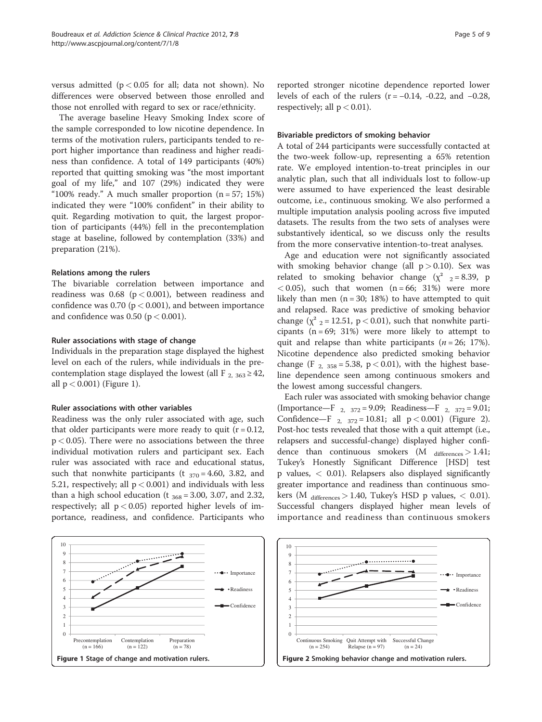<span id="page-5-0"></span>versus admitted ( $p < 0.05$  for all; data not shown). No differences were observed between those enrolled and those not enrolled with regard to sex or race/ethnicity.

The average baseline Heavy Smoking Index score of the sample corresponded to low nicotine dependence. In terms of the motivation rulers, participants tended to report higher importance than readiness and higher readiness than confidence. A total of 149 participants (40%) reported that quitting smoking was "the most important goal of my life," and 107 (29%) indicated they were "100% ready." A much smaller proportion  $(n = 57; 15%)$ indicated they were "100% confident" in their ability to quit. Regarding motivation to quit, the largest proportion of participants (44%) fell in the precontemplation stage at baseline, followed by contemplation (33%) and preparation (21%).

#### Relations among the rulers

The bivariable correlation between importance and readiness was  $0.68$  ( $p < 0.001$ ), between readiness and confidence was  $0.70$  ( $p < 0.001$ ), and between importance and confidence was 0.50 ( $p < 0.001$ ).

#### Ruler associations with stage of change

Individuals in the preparation stage displayed the highest level on each of the rulers, while individuals in the precontemplation stage displayed the lowest (all F  $_{2, 363} \ge 42$ , all  $p < 0.001$ ) (Figure 1).

#### Ruler associations with other variables

Readiness was the only ruler associated with age, such that older participants were more ready to quit  $(r = 0.12,$  $p < 0.05$ ). There were no associations between the three individual motivation rulers and participant sex. Each ruler was associated with race and educational status, such that nonwhite participants (t  $_{370}$  = 4.60, 3.82, and 5.21, respectively; all  $p < 0.001$ ) and individuals with less than a high school education (t  $_{368}$  = 3.00, 3.07, and 2.32, respectively; all  $p < 0.05$ ) reported higher levels of importance, readiness, and confidence. Participants who



#### Bivariable predictors of smoking behavior

A total of 244 participants were successfully contacted at the two-week follow-up, representing a 65% retention rate. We employed intention-to-treat principles in our analytic plan, such that all individuals lost to follow-up were assumed to have experienced the least desirable outcome, i.e., continuous smoking. We also performed a multiple imputation analysis pooling across five imputed datasets. The results from the two sets of analyses were substantively identical, so we discuss only the results from the more conservative intention-to-treat analyses.

Age and education were not significantly associated with smoking behavior change (all  $p > 0.10$ ). Sex was related to smoking behavior change  $(\chi^2)_{2} = 8.39$ , p  $< 0.05$ ), such that women  $(n = 66; 31%)$  were more likely than men  $(n = 30; 18%)$  to have attempted to quit and relapsed. Race was predictive of smoking behavior change ( $\chi^2$  2 = 12.51, p < 0.01), such that nonwhite participants  $(n = 69; 31%)$  were more likely to attempt to quit and relapse than white participants  $(n = 26; 17\%)$ . Nicotine dependence also predicted smoking behavior change (F  $_{2,358}$  = 5.38, p < 0.01), with the highest baseline dependence seen among continuous smokers and the lowest among successful changers.

Each ruler was associated with smoking behavior change (Importance—F  $_{2, 372} = 9.09$ ; Readiness—F  $_{2, 372} = 9.01$ ; Confidence—F  $_{2, 372} = 10.81$ ; all  $p < 0.001$ ) (Figure 2). Post-hoc tests revealed that those with a quit attempt (i.e., relapsers and successful-change) displayed higher confidence than continuous smokers  $(M_{\text{differences}} > 1.41;$ Tukey's Honestly Significant Difference [HSD] test p values, < 0.01). Relapsers also displayed significantly greater importance and readiness than continuous smokers (M  $_{\text{differences}}$  > 1.40, Tukey's HSD p values, < 0.01). Successful changers displayed higher mean levels of importance and readiness than continuous smokers

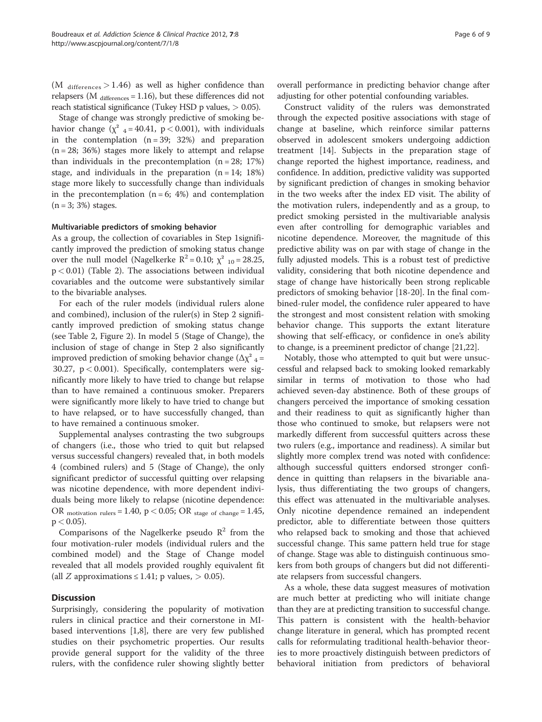(M  $_{difference}$  > 1.46) as well as higher confidence than relapsers ( $M$  differences = 1.16), but these differences did not reach statistical significance (Tukey HSD p values,  $> 0.05$ ).

Stage of change was strongly predictive of smoking behavior change ( $\chi^2$  4 = 40.41, p < 0.001), with individuals in the contemplation  $(n = 39; 32%)$  and preparation  $(n = 28; 36%)$  stages more likely to attempt and relapse than individuals in the precontemplation  $(n = 28; 17%)$ stage, and individuals in the preparation  $(n = 14; 18%)$ stage more likely to successfully change than individuals in the precontemplation  $(n = 6; 4%)$  and contemplation  $(n = 3; 3%)$  stages.

#### Multivariable predictors of smoking behavior

As a group, the collection of covariables in Step 1significantly improved the prediction of smoking status change over the null model (Nagelkerke  $R^2 = 0.10$ ;  $\chi^2$  <sub>10</sub> = 28.25,  $p < 0.01$ ) (Table [2\)](#page-7-0). The associations between individual covariables and the outcome were substantively similar to the bivariable analyses.

For each of the ruler models (individual rulers alone and combined), inclusion of the ruler(s) in Step 2 significantly improved prediction of smoking status change (see Table [2,](#page-7-0) Figure [2\)](#page-5-0). In model 5 (Stage of Change), the inclusion of stage of change in Step 2 also significantly improved prediction of smoking behavior change  $(\Delta \chi^2)_4$  = 30.27,  $p < 0.001$ ). Specifically, contemplaters were significantly more likely to have tried to change but relapse than to have remained a continuous smoker. Preparers were significantly more likely to have tried to change but to have relapsed, or to have successfully changed, than to have remained a continuous smoker.

Supplemental analyses contrasting the two subgroups of changers (i.e., those who tried to quit but relapsed versus successful changers) revealed that, in both models 4 (combined rulers) and 5 (Stage of Change), the only significant predictor of successful quitting over relapsing was nicotine dependence, with more dependent individuals being more likely to relapse (nicotine dependence: OR motivation rulers = 1.40,  $p < 0.05$ ; OR stage of change = 1.45,  $p < 0.05$ ).

Comparisons of the Nagelkerke pseudo  $\mathbb{R}^2$  from the four motivation-ruler models (individual rulers and the combined model) and the Stage of Change model revealed that all models provided roughly equivalent fit (all *Z* approximations  $\leq$  1.41; p values,  $>$  0.05).

#### **Discussion**

Surprisingly, considering the popularity of motivation rulers in clinical practice and their cornerstone in MIbased interventions [\[1,](#page-8-0)[8\]](#page-9-0), there are very few published studies on their psychometric properties. Our results provide general support for the validity of the three rulers, with the confidence ruler showing slightly better overall performance in predicting behavior change after adjusting for other potential confounding variables.

Construct validity of the rulers was demonstrated through the expected positive associations with stage of change at baseline, which reinforce similar patterns observed in adolescent smokers undergoing addiction treatment [\[14](#page-9-0)]. Subjects in the preparation stage of change reported the highest importance, readiness, and confidence. In addition, predictive validity was supported by significant prediction of changes in smoking behavior in the two weeks after the index ED visit. The ability of the motivation rulers, independently and as a group, to predict smoking persisted in the multivariable analysis even after controlling for demographic variables and nicotine dependence. Moreover, the magnitude of this predictive ability was on par with stage of change in the fully adjusted models. This is a robust test of predictive validity, considering that both nicotine dependence and stage of change have historically been strong replicable predictors of smoking behavior [\[18-20](#page-9-0)]. In the final combined-ruler model, the confidence ruler appeared to have the strongest and most consistent relation with smoking behavior change. This supports the extant literature showing that self-efficacy, or confidence in one's ability to change, is a preeminent predictor of change [[21,22\]](#page-9-0).

Notably, those who attempted to quit but were unsuccessful and relapsed back to smoking looked remarkably similar in terms of motivation to those who had achieved seven-day abstinence. Both of these groups of changers perceived the importance of smoking cessation and their readiness to quit as significantly higher than those who continued to smoke, but relapsers were not markedly different from successful quitters across these two rulers (e.g., importance and readiness). A similar but slightly more complex trend was noted with confidence: although successful quitters endorsed stronger confidence in quitting than relapsers in the bivariable analysis, thus differentiating the two groups of changers, this effect was attenuated in the multivariable analyses. Only nicotine dependence remained an independent predictor, able to differentiate between those quitters who relapsed back to smoking and those that achieved successful change. This same pattern held true for stage of change. Stage was able to distinguish continuous smokers from both groups of changers but did not differentiate relapsers from successful changers.

As a whole, these data suggest measures of motivation are much better at predicting who will initiate change than they are at predicting transition to successful change. This pattern is consistent with the health-behavior change literature in general, which has prompted recent calls for reformulating traditional health-behavior theories to more proactively distinguish between predictors of behavioral initiation from predictors of behavioral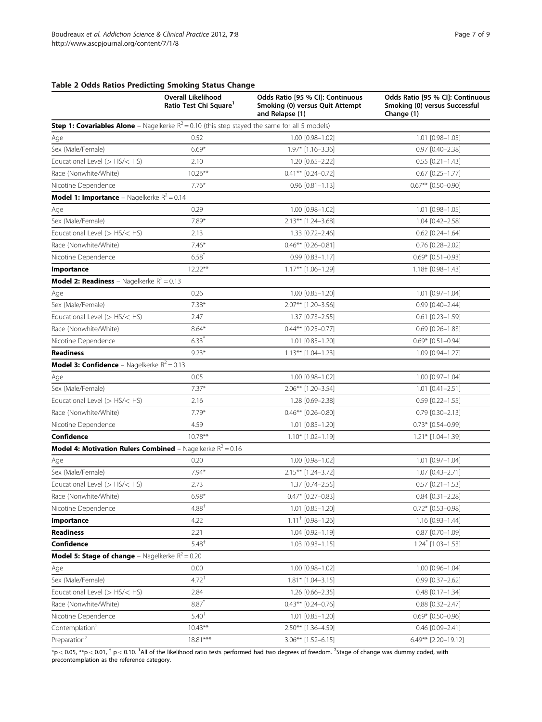#### <span id="page-7-0"></span>Table 2 Odds Ratios Predicting Smoking Status Change

|                                                                                                         | <b>Overall Likelihood</b><br>Ratio Test Chi Square <sup>1</sup> | Odds Ratio [95 % CI]: Continuous<br>Smoking (0) versus Quit Attempt<br>and Relapse (1) | Odds Ratio [95 % CI]: Continuous<br>Smoking (0) versus Successful<br>Change (1) |
|---------------------------------------------------------------------------------------------------------|-----------------------------------------------------------------|----------------------------------------------------------------------------------------|---------------------------------------------------------------------------------|
| <b>Step 1: Covariables Alone</b> – Nagelkerke $R^2 = 0.10$ (this step stayed the same for all 5 models) |                                                                 |                                                                                        |                                                                                 |
| Age                                                                                                     | 0.52                                                            | 1.00 [0.98-1.02]                                                                       | 1.01 [0.98-1.05]                                                                |
| Sex (Male/Female)                                                                                       | $6.69*$                                                         | $1.97*$ [1.16-3.36]                                                                    | $0.97$ $[0.40 - 2.38]$                                                          |
| Educational Level ( $>$ HS/ $<$ HS)                                                                     | 2.10                                                            | 1.20 [0.65-2.22]                                                                       | $0.55$ $[0.21 - 1.43]$                                                          |
| Race (Nonwhite/White)                                                                                   | $10.26***$                                                      | $0.41**$ [0.24-0.72]                                                                   | $0.67$ $[0.25 - 1.77]$                                                          |
| Nicotine Dependence                                                                                     | $7.76*$                                                         | $0.96$ $[0.81 - 1.13]$                                                                 | $0.67**$ [0.50-0.90]                                                            |
| <b>Model 1: Importance</b> – Nagelkerke $R^2 = 0.14$                                                    |                                                                 |                                                                                        |                                                                                 |
| Age                                                                                                     | 0.29                                                            | 1.00 [0.98-1.02]                                                                       | 1.01 [0.98-1.05]                                                                |
| Sex (Male/Female)                                                                                       | 7.89*                                                           | 2.13** [1.24-3.68]                                                                     | 1.04 [0.42-2.58]                                                                |
| Educational Level ( $>$ HS/ $<$ HS)                                                                     | 2.13                                                            | 1.33 [0.72-2.46]                                                                       | $0.62$ $[0.24 - 1.64]$                                                          |
| Race (Nonwhite/White)                                                                                   | $7.46*$                                                         | $0.46**$ [0.26-0.81]                                                                   | $0.76$ [0.28-2.02]                                                              |
| Nicotine Dependence                                                                                     | $6.58*$                                                         | $0.99$ $[0.83 - 1.17]$                                                                 | $0.69*$ [0.51-0.93]                                                             |
| Importance                                                                                              | $12.22***$                                                      | $1.17***$ [1.06-1.29]                                                                  | 1.18+ [0.98-1.43]                                                               |
| <b>Model 2: Readiness</b> – Nagelkerke $R^2 = 0.13$                                                     |                                                                 |                                                                                        |                                                                                 |
| Age                                                                                                     | 0.26                                                            | 1.00 [0.85-1.20]                                                                       | 1.01 [0.97-1.04]                                                                |
| Sex (Male/Female)                                                                                       | $7.38*$                                                         | 2.07** [1.20-3.56]                                                                     | $0.99$ $[0.40 - 2.44]$                                                          |
| Educational Level (> HS/< HS)                                                                           | 2.47                                                            | 1.37 [0.73-2.55]                                                                       | $0.61$ $[0.23 - 1.59]$                                                          |
| Race (Nonwhite/White)                                                                                   | $8.64*$                                                         | $0.44***$ $[0.25-0.77]$                                                                | $0.69$ $[0.26 - 1.83]$                                                          |
| Nicotine Dependence                                                                                     | $6.33*$                                                         | 1.01 [0.85-1.20]                                                                       | $0.69*$ [0.51-0.94]                                                             |
| <b>Readiness</b>                                                                                        | $9.23*$                                                         | 1.13** [1.04-1.23]                                                                     | 1.09 [0.94-1.27]                                                                |
| <b>Model 3: Confidence</b> – Nagelkerke $R^2 = 0.13$                                                    |                                                                 |                                                                                        |                                                                                 |
| Age                                                                                                     | 0.05                                                            | 1.00 [0.98-1.02]                                                                       | 1.00 [0.97-1.04]                                                                |
| Sex (Male/Female)                                                                                       | $7.37*$                                                         | 2.06** [1.20-3.54]                                                                     | $1.01$ $[0.41 - 2.51]$                                                          |
| Educational Level (> HS/< HS)                                                                           | 2.16                                                            | 1.28 [0.69-2.38]                                                                       | $0.59$ $[0.22 - 1.55]$                                                          |
| Race (Nonwhite/White)                                                                                   | $7.79*$                                                         | $0.46**$ [0.26-0.80]                                                                   | $0.79$ $[0.30 - 2.13]$                                                          |
| Nicotine Dependence                                                                                     | 4.59                                                            | 1.01 [0.85-1.20]                                                                       | $0.73*$ [0.54-0.99]                                                             |
| Confidence                                                                                              | $10.78***$                                                      | $1.10*$ $[1.02-1.19]$                                                                  | 1.21* [1.04-1.39]                                                               |
| <b>Model 4: Motivation Rulers Combined</b> – Nagelkerke $R^2 = 0.16$                                    |                                                                 |                                                                                        |                                                                                 |
| Age                                                                                                     | 0.20                                                            | 1.00 [0.98-1.02]                                                                       | 1.01 [0.97-1.04]                                                                |
| Sex (Male/Female)                                                                                       | $7.94*$                                                         | 2.15** [1.24-3.72]                                                                     | 1.07 [0.43-2.71]                                                                |
| Educational Level (> HS/< HS)                                                                           | 2.73                                                            | 1.37 [0.74-2.55]                                                                       | $0.57$ $[0.21 - 1.53]$                                                          |
| Race (Nonwhite/White)                                                                                   | $6.98*$                                                         | $0.47*$ [0.27-0.83]                                                                    | $0.84$ [0.31-2.28]                                                              |
| Nicotine Dependence                                                                                     | $4.88^{+}$                                                      | 1.01 [0.85-1.20]                                                                       | $0.72*$ [0.53-0.98]                                                             |
| Importance                                                                                              | 4.22                                                            | $1.11^{\dagger}$ [0.98-1.26]                                                           | 1.16 [0.93-1.44]                                                                |
| <b>Readiness</b>                                                                                        | 2.21                                                            | 1.04 [0.92-1.19]                                                                       | $0.87$ [0.70-1.09]                                                              |
| Confidence                                                                                              | $5.48^{+}$                                                      | $1.03$ $[0.93 - 1.15]$                                                                 | $1.24$ <sup>*</sup> [1.03-1.53]                                                 |
| <b>Model 5: Stage of change</b> – Nagelkerke $R^2 = 0.20$                                               |                                                                 |                                                                                        |                                                                                 |
| Age                                                                                                     | 0.00                                                            | 1.00 [0.98-1.02]                                                                       | 1.00 [0.96-1.04]                                                                |
| Sex (Male/Female)                                                                                       | $4.72^{+}$                                                      | $1.81*$ [1.04-3.15]                                                                    | $0.99$ $[0.37 - 2.62]$                                                          |
| Educational Level (> HS/< HS)                                                                           | 2.84                                                            | 1.26 [0.66-2.35]                                                                       | $0.48$ $[0.17 - 1.34]$                                                          |
| Race (Nonwhite/White)                                                                                   | $8.87*$                                                         | $0.43**$ [0.24-0.76]                                                                   | $0.88$ [0.32-2.47]                                                              |
| Nicotine Dependence                                                                                     | 5.40 <sup>†</sup>                                               | 1.01 [0.85-1.20]                                                                       | $0.69*$ [0.50-0.96]                                                             |
| Contemplation <sup>2</sup>                                                                              | $10.43***$                                                      | 2.50** [1.36-4.59]                                                                     | 0.46 [0.09-2.41]                                                                |
| Preparation <sup>2</sup>                                                                                | 18.81***                                                        | 3.06** [1.52-6.15]                                                                     | 6.49** [2.20-19.12]                                                             |

 $*_\mathsf{p}<$  0.05,  $^{**}\mathsf{p}<$  0.01,  $^{\dagger}$  p  $<$  0.10.  $^{\dagger}$  All of the likelihood ratio tests performed had two degrees of freedom.  $^2$ Stage of change was dummy coded, with precontemplation as the reference category.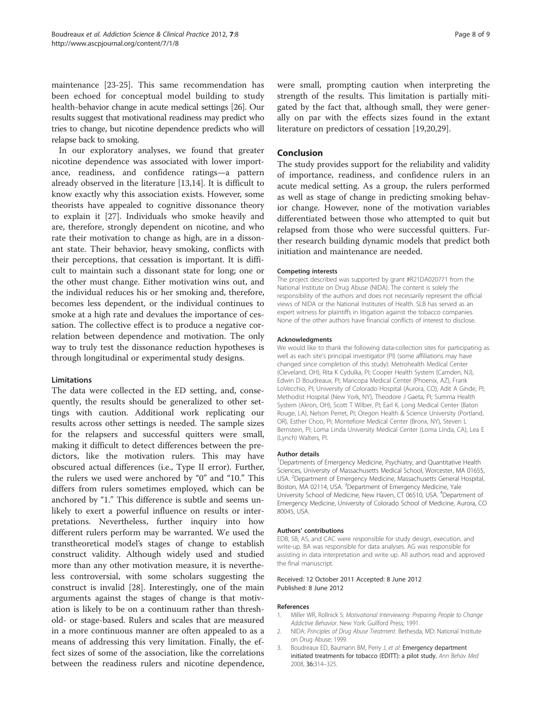<span id="page-8-0"></span>maintenance [[23](#page-9-0)-[25\]](#page-9-0). This same recommendation has been echoed for conceptual model building to study health-behavior change in acute medical settings [[26](#page-9-0)]. Our results suggest that motivational readiness may predict who tries to change, but nicotine dependence predicts who will relapse back to smoking.

In our exploratory analyses, we found that greater nicotine dependence was associated with lower importance, readiness, and confidence ratings—a pattern already observed in the literature [[13,14\]](#page-9-0). It is difficult to know exactly why this association exists. However, some theorists have appealed to cognitive dissonance theory to explain it [\[27](#page-9-0)]. Individuals who smoke heavily and are, therefore, strongly dependent on nicotine, and who rate their motivation to change as high, are in a dissonant state. Their behavior, heavy smoking, conflicts with their perceptions, that cessation is important. It is difficult to maintain such a dissonant state for long; one or the other must change. Either motivation wins out, and the individual reduces his or her smoking and, therefore, becomes less dependent, or the individual continues to smoke at a high rate and devalues the importance of cessation. The collective effect is to produce a negative correlation between dependence and motivation. The only way to truly test the dissonance reduction hypotheses is through longitudinal or experimental study designs.

#### Limitations

The data were collected in the ED setting, and, consequently, the results should be generalized to other settings with caution. Additional work replicating our results across other settings is needed. The sample sizes for the relapsers and successful quitters were small, making it difficult to detect differences between the predictors, like the motivation rulers. This may have obscured actual differences (i.e., Type II error). Further, the rulers we used were anchored by "0" and "10." This differs from rulers sometimes employed, which can be anchored by "1." This difference is subtle and seems unlikely to exert a powerful influence on results or interpretations. Nevertheless, further inquiry into how different rulers perform may be warranted. We used the transtheoretical model's stages of change to establish construct validity. Although widely used and studied more than any other motivation measure, it is nevertheless controversial, with some scholars suggesting the construct is invalid [[28](#page-9-0)]. Interestingly, one of the main arguments against the stages of change is that motivation is likely to be on a continuum rather than threshold- or stage-based. Rulers and scales that are measured in a more continuous manner are often appealed to as a means of addressing this very limitation. Finally, the effect sizes of some of the association, like the correlations between the readiness rulers and nicotine dependence,

were small, prompting caution when interpreting the strength of the results. This limitation is partially mitigated by the fact that, although small, they were generally on par with the effects sizes found in the extant literature on predictors of cessation [[19](#page-9-0),[20](#page-9-0),[29](#page-9-0)].

#### Conclusion

The study provides support for the reliability and validity of importance, readiness, and confidence rulers in an acute medical setting. As a group, the rulers performed as well as stage of change in predicting smoking behavior change. However, none of the motivation variables differentiated between those who attempted to quit but relapsed from those who were successful quitters. Further research building dynamic models that predict both initiation and maintenance are needed.

#### Competing interests

The project described was supported by grant #R21DA020771 from the National Institute on Drug Abuse (NIDA). The content is solely the responsibility of the authors and does not necessarily represent the official views of NIDA or the National Institutes of Health. SLB has served as an expert witness for plaintiffs in litigation against the tobacco companies. None of the other authors have financial conflicts of interest to disclose.

#### Acknowledgments

We would like to thank the following data-collection sites for participating as well as each site's principal investigator (PI) (some affiliations may have changed since completion of this study): Metrohealth Medical Center (Cleveland, OH), Rita K Cydulka, PI; Cooper Health System (Camden, NJ), Edwin D Boudreaux, PI; Maricopa Medical Center (Phoenix, AZ), Frank LoVecchio, PI; University of Colorado Hospital (Aurora, CO), Adit A Ginde, PI; Methodist Hospital (New York, NY), Theodore J Gaeta, PI; Summa Health System (Akron, OH), Scott T Wilber, PI; Earl K. Long Medical Center (Baton Rouge, LA), Nelson Perret, PI; Oregon Health & Science University (Portland, OR), Esther Choo, PI; Montefiore Medical Center (Bronx, NY), Steven L Bernstein, PI; Loma Linda University Medical Center (Loma Linda, CA), Lea E (Lynch) Walters, PI.

#### Author details

<sup>1</sup>Departments of Emergency Medicine, Psychiatry, and Quantitative Health Sciences, University of Massachusetts Medical School, Worcester, MA 01655, USA. <sup>2</sup> Department of Emergency Medicine, Massachusetts General Hospital Boston, MA 02114, USA. <sup>3</sup>Department of Emergency Medicine, Yale University School of Medicine, New Haven, CT 06510, USA. <sup>4</sup>Department of Emergency Medicine, University of Colorado School of Medicine, Aurora, CO 80045, USA.

#### Authors' contributions

EDB, SB, AS, and CAC were responsible for study design, execution, and write-up. BA was responsible for data analyses. AG was responsible for assisting in data interpretation and write up. All authors read and approved the final manuscript.

#### Received: 12 October 2011 Accepted: 8 June 2012 Published: 8 June 2012

#### References

- 1. Miller WR, Rollnick S: Motivational Interviewing: Preparing People to Change Addictive Behavior. New York: Guilford Press; 1991.
- 2. NIDA: Principles of Drug Abuse Treatment. Bethesda, MD: National Institute on Drug Abuse; 1999.
- 3. Boudreaux ED, Baumann BM, Perry J, et al: Emergency department initiated treatments for tobacco (EDITT): a pilot study. Ann Behav Med 2008, 36:314–325.